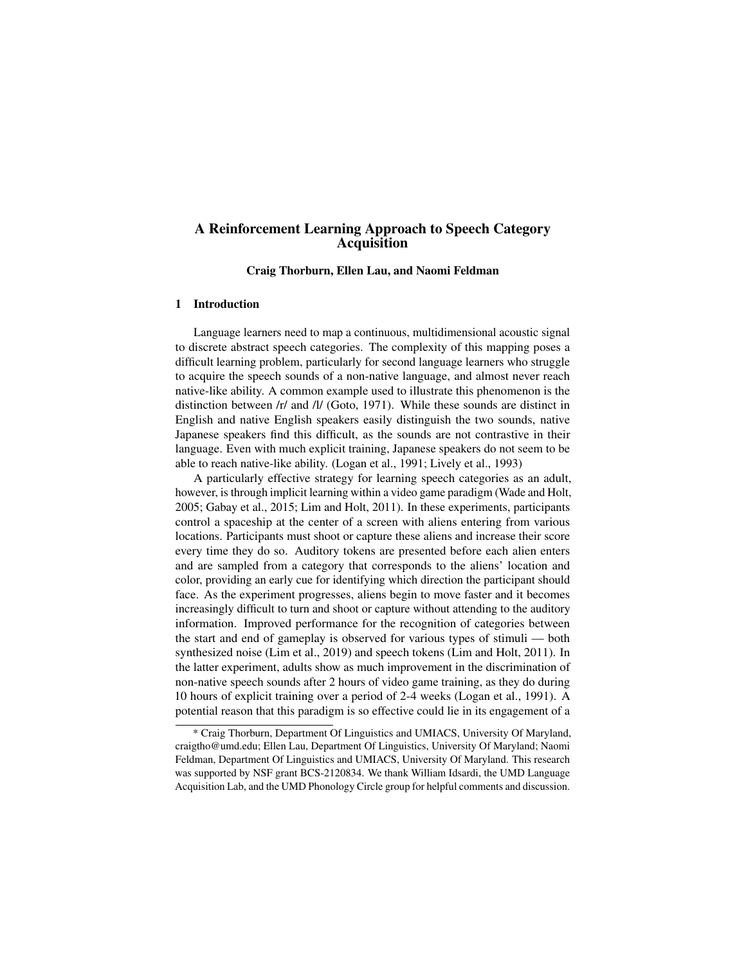# A Reinforcement Learning Approach to Speech Category Acquisition

Craig Thorburn, Ellen Lau, and Naomi Feldman

#### 1 Introduction

Language learners need to map a continuous, multidimensional acoustic signal to discrete abstract speech categories. The complexity of this mapping poses a difficult learning problem, particularly for second language learners who struggle to acquire the speech sounds of a non-native language, and almost never reach native-like ability. A common example used to illustrate this phenomenon is the distinction between /r/ and /l/ (Goto, 1971). While these sounds are distinct in English and native English speakers easily distinguish the two sounds, native Japanese speakers find this difficult, as the sounds are not contrastive in their language. Even with much explicit training, Japanese speakers do not seem to be able to reach native-like ability. (Logan et al., 1991; Lively et al., 1993)

A particularly effective strategy for learning speech categories as an adult, however, is through implicit learning within a video game paradigm (Wade and Holt, 2005; Gabay et al., 2015; Lim and Holt, 2011). In these experiments, participants control a spaceship at the center of a screen with aliens entering from various locations. Participants must shoot or capture these aliens and increase their score every time they do so. Auditory tokens are presented before each alien enters and are sampled from a category that corresponds to the aliens' location and color, providing an early cue for identifying which direction the participant should face. As the experiment progresses, aliens begin to move faster and it becomes increasingly difficult to turn and shoot or capture without attending to the auditory information. Improved performance for the recognition of categories between the start and end of gameplay is observed for various types of stimuli — both synthesized noise (Lim et al., 2019) and speech tokens (Lim and Holt, 2011). In the latter experiment, adults show as much improvement in the discrimination of non-native speech sounds after 2 hours of video game training, as they do during 10 hours of explicit training over a period of 2-4 weeks (Logan et al., 1991). A potential reason that this paradigm is so effective could lie in its engagement of a

<sup>\*</sup> Craig Thorburn, Department Of Linguistics and UMIACS, University Of Maryland, craigtho@umd.edu; Ellen Lau, Department Of Linguistics, University Of Maryland; Naomi Feldman, Department Of Linguistics and UMIACS, University Of Maryland. This research was supported by NSF grant BCS-2120834. We thank William Idsardi, the UMD Language Acquisition Lab, and the UMD Phonology Circle group for helpful comments and discussion.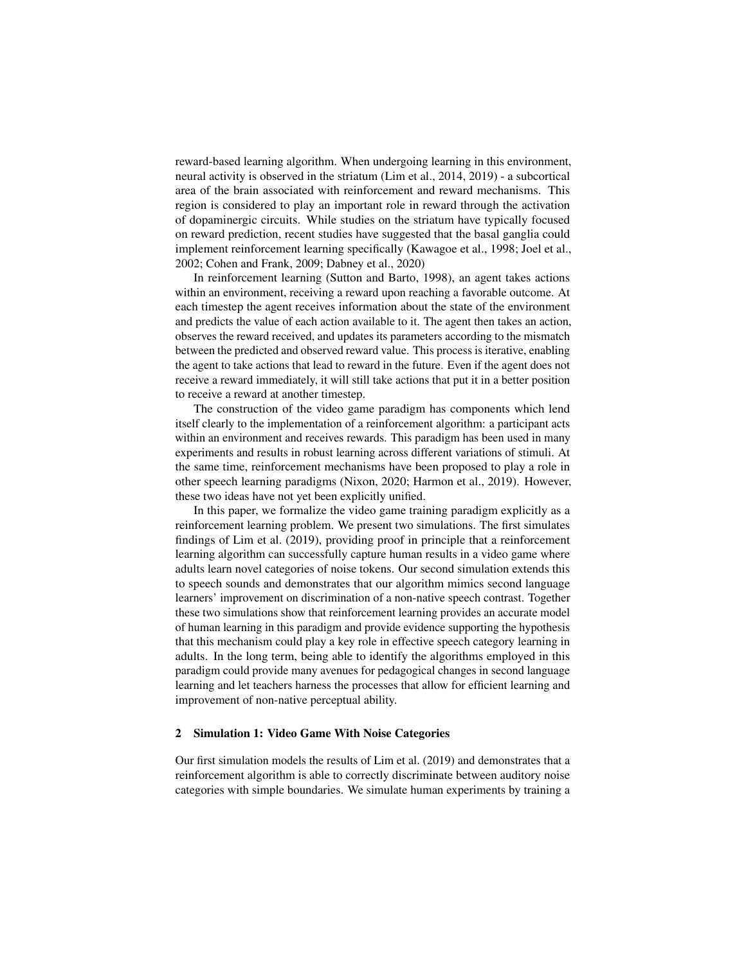reward-based learning algorithm. When undergoing learning in this environment, neural activity is observed in the striatum (Lim et al., 2014, 2019) - a subcortical area of the brain associated with reinforcement and reward mechanisms. This region is considered to play an important role in reward through the activation of dopaminergic circuits. While studies on the striatum have typically focused on reward prediction, recent studies have suggested that the basal ganglia could implement reinforcement learning specifically (Kawagoe et al., 1998; Joel et al., 2002; Cohen and Frank, 2009; Dabney et al., 2020)

In reinforcement learning (Sutton and Barto, 1998), an agent takes actions within an environment, receiving a reward upon reaching a favorable outcome. At each timestep the agent receives information about the state of the environment and predicts the value of each action available to it. The agent then takes an action, observes the reward received, and updates its parameters according to the mismatch between the predicted and observed reward value. This process is iterative, enabling the agent to take actions that lead to reward in the future. Even if the agent does not receive a reward immediately, it will still take actions that put it in a better position to receive a reward at another timestep.

The construction of the video game paradigm has components which lend itself clearly to the implementation of a reinforcement algorithm: a participant acts within an environment and receives rewards. This paradigm has been used in many experiments and results in robust learning across different variations of stimuli. At the same time, reinforcement mechanisms have been proposed to play a role in other speech learning paradigms (Nixon, 2020; Harmon et al., 2019). However, these two ideas have not yet been explicitly unified.

In this paper, we formalize the video game training paradigm explicitly as a reinforcement learning problem. We present two simulations. The first simulates findings of Lim et al. (2019), providing proof in principle that a reinforcement learning algorithm can successfully capture human results in a video game where adults learn novel categories of noise tokens. Our second simulation extends this to speech sounds and demonstrates that our algorithm mimics second language learners' improvement on discrimination of a non-native speech contrast. Together these two simulations show that reinforcement learning provides an accurate model of human learning in this paradigm and provide evidence supporting the hypothesis that this mechanism could play a key role in effective speech category learning in adults. In the long term, being able to identify the algorithms employed in this paradigm could provide many avenues for pedagogical changes in second language learning and let teachers harness the processes that allow for efficient learning and improvement of non-native perceptual ability.

### 2 Simulation 1: Video Game With Noise Categories

Our first simulation models the results of Lim et al. (2019) and demonstrates that a reinforcement algorithm is able to correctly discriminate between auditory noise categories with simple boundaries. We simulate human experiments by training a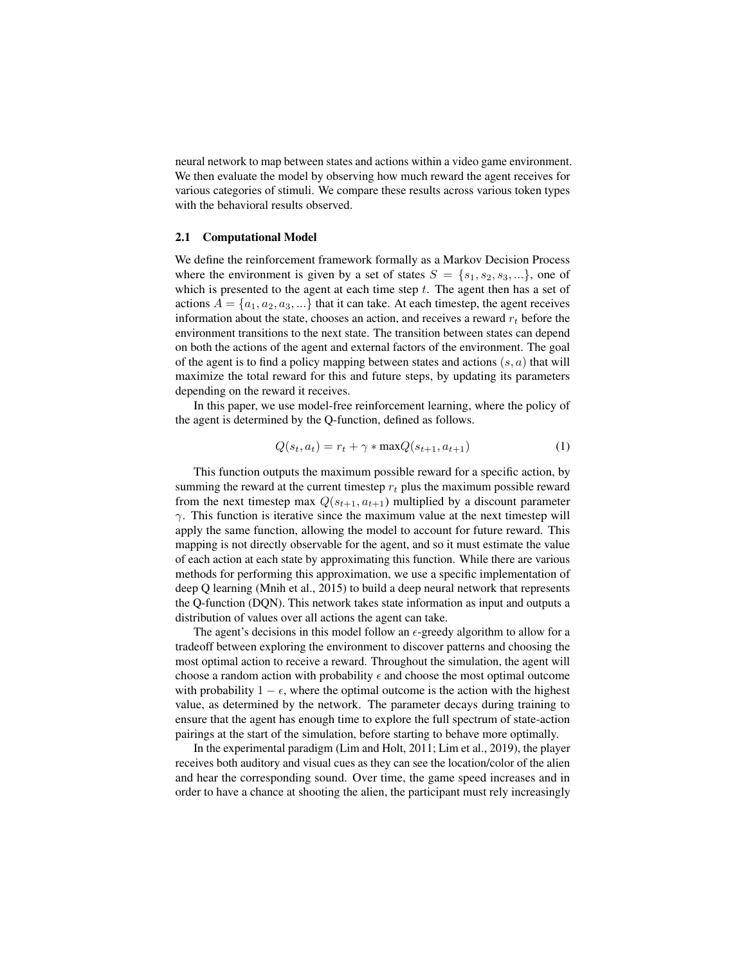neural network to map between states and actions within a video game environment. We then evaluate the model by observing how much reward the agent receives for various categories of stimuli. We compare these results across various token types with the behavioral results observed.

### 2.1 Computational Model

We define the reinforcement framework formally as a Markov Decision Process where the environment is given by a set of states  $S = \{s_1, s_2, s_3, ...\}$ , one of which is presented to the agent at each time step  $t$ . The agent then has a set of actions  $A = \{a_1, a_2, a_3, ...\}$  that it can take. At each timestep, the agent receives information about the state, chooses an action, and receives a reward  $r_t$  before the environment transitions to the next state. The transition between states can depend on both the actions of the agent and external factors of the environment. The goal of the agent is to find a policy mapping between states and actions  $(s, a)$  that will maximize the total reward for this and future steps, by updating its parameters depending on the reward it receives.

In this paper, we use model-free reinforcement learning, where the policy of the agent is determined by the Q-function, defined as follows.

$$
Q(s_t, a_t) = r_t + \gamma * \max Q(s_{t+1}, a_{t+1})
$$
\n
$$
(1)
$$

This function outputs the maximum possible reward for a specific action, by summing the reward at the current timestep  $r_t$  plus the maximum possible reward from the next timestep max  $Q(s_{t+1}, a_{t+1})$  multiplied by a discount parameter  $\gamma$ . This function is iterative since the maximum value at the next timestep will apply the same function, allowing the model to account for future reward. This mapping is not directly observable for the agent, and so it must estimate the value of each action at each state by approximating this function. While there are various methods for performing this approximation, we use a specific implementation of deep Q learning (Mnih et al., 2015) to build a deep neural network that represents the Q-function (DQN). This network takes state information as input and outputs a distribution of values over all actions the agent can take.

The agent's decisions in this model follow an  $\epsilon$ -greedy algorithm to allow for a tradeoff between exploring the environment to discover patterns and choosing the most optimal action to receive a reward. Throughout the simulation, the agent will choose a random action with probability  $\epsilon$  and choose the most optimal outcome with probability  $1 - \epsilon$ , where the optimal outcome is the action with the highest value, as determined by the network. The parameter decays during training to ensure that the agent has enough time to explore the full spectrum of state-action pairings at the start of the simulation, before starting to behave more optimally.

In the experimental paradigm (Lim and Holt, 2011; Lim et al., 2019), the player receives both auditory and visual cues as they can see the location/color of the alien and hear the corresponding sound. Over time, the game speed increases and in order to have a chance at shooting the alien, the participant must rely increasingly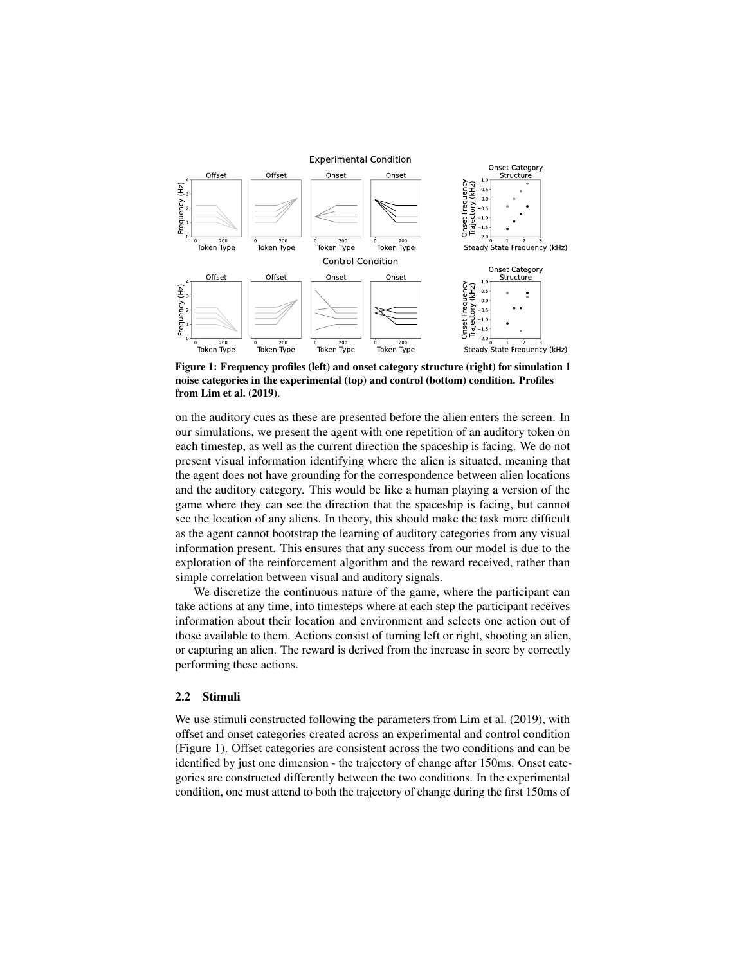

Figure 1: Frequency profiles (left) and onset category structure (right) for simulation 1 noise categories in the experimental (top) and control (bottom) condition. Profiles from Lim et al. (2019).

on the auditory cues as these are presented before the alien enters the screen. In our simulations, we present the agent with one repetition of an auditory token on each timestep, as well as the current direction the spaceship is facing. We do not present visual information identifying where the alien is situated, meaning that the agent does not have grounding for the correspondence between alien locations and the auditory category. This would be like a human playing a version of the game where they can see the direction that the spaceship is facing, but cannot see the location of any aliens. In theory, this should make the task more difficult as the agent cannot bootstrap the learning of auditory categories from any visual information present. This ensures that any success from our model is due to the exploration of the reinforcement algorithm and the reward received, rather than simple correlation between visual and auditory signals.

We discretize the continuous nature of the game, where the participant can take actions at any time, into timesteps where at each step the participant receives information about their location and environment and selects one action out of those available to them. Actions consist of turning left or right, shooting an alien, or capturing an alien. The reward is derived from the increase in score by correctly performing these actions.

### 2.2 Stimuli

We use stimuli constructed following the parameters from Lim et al. (2019), with offset and onset categories created across an experimental and control condition (Figure 1). Offset categories are consistent across the two conditions and can be identified by just one dimension - the trajectory of change after 150ms. Onset categories are constructed differently between the two conditions. In the experimental condition, one must attend to both the trajectory of change during the first 150ms of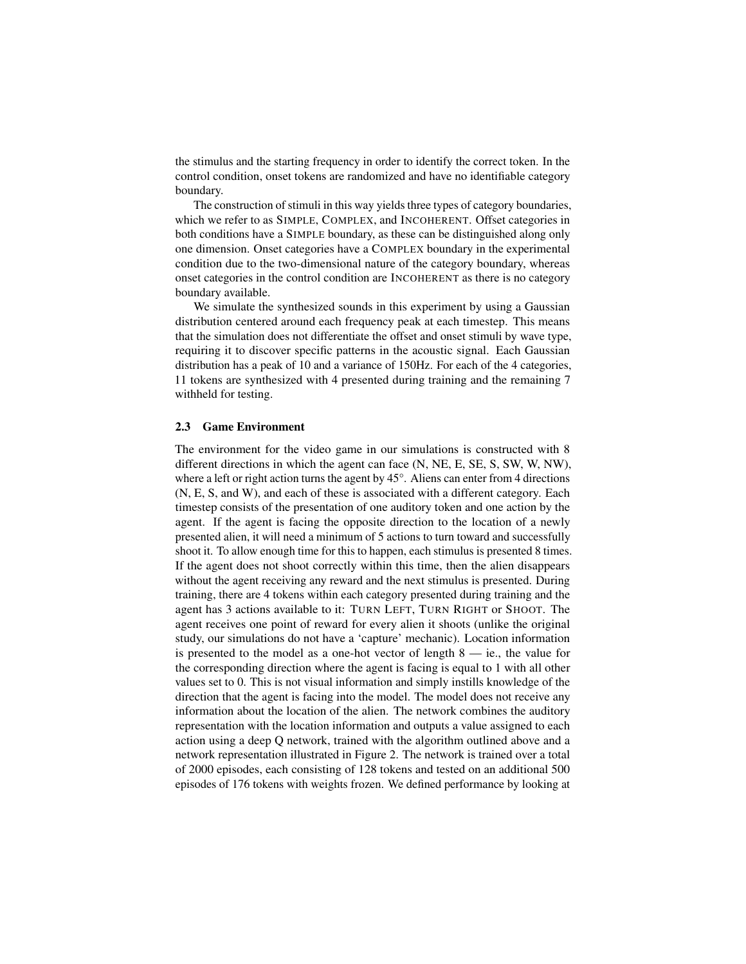the stimulus and the starting frequency in order to identify the correct token. In the control condition, onset tokens are randomized and have no identifiable category boundary.

The construction of stimuli in this way yields three types of category boundaries, which we refer to as SIMPLE, COMPLEX, and INCOHERENT. Offset categories in both conditions have a SIMPLE boundary, as these can be distinguished along only one dimension. Onset categories have a COMPLEX boundary in the experimental condition due to the two-dimensional nature of the category boundary, whereas onset categories in the control condition are INCOHERENT as there is no category boundary available.

We simulate the synthesized sounds in this experiment by using a Gaussian distribution centered around each frequency peak at each timestep. This means that the simulation does not differentiate the offset and onset stimuli by wave type, requiring it to discover specific patterns in the acoustic signal. Each Gaussian distribution has a peak of 10 and a variance of 150Hz. For each of the 4 categories, 11 tokens are synthesized with 4 presented during training and the remaining 7 withheld for testing.

### 2.3 Game Environment

The environment for the video game in our simulations is constructed with 8 different directions in which the agent can face (N, NE, E, SE, S, SW, W, NW), where a left or right action turns the agent by 45°. Aliens can enter from 4 directions (N, E, S, and W), and each of these is associated with a different category. Each timestep consists of the presentation of one auditory token and one action by the agent. If the agent is facing the opposite direction to the location of a newly presented alien, it will need a minimum of 5 actions to turn toward and successfully shoot it. To allow enough time for this to happen, each stimulus is presented 8 times. If the agent does not shoot correctly within this time, then the alien disappears without the agent receiving any reward and the next stimulus is presented. During training, there are 4 tokens within each category presented during training and the agent has 3 actions available to it: TURN LEFT, TURN RIGHT or SHOOT. The agent receives one point of reward for every alien it shoots (unlike the original study, our simulations do not have a 'capture' mechanic). Location information is presented to the model as a one-hot vector of length  $8 - i$ e., the value for the corresponding direction where the agent is facing is equal to 1 with all other values set to 0. This is not visual information and simply instills knowledge of the direction that the agent is facing into the model. The model does not receive any information about the location of the alien. The network combines the auditory representation with the location information and outputs a value assigned to each action using a deep Q network, trained with the algorithm outlined above and a network representation illustrated in Figure 2. The network is trained over a total of 2000 episodes, each consisting of 128 tokens and tested on an additional 500 episodes of 176 tokens with weights frozen. We defined performance by looking at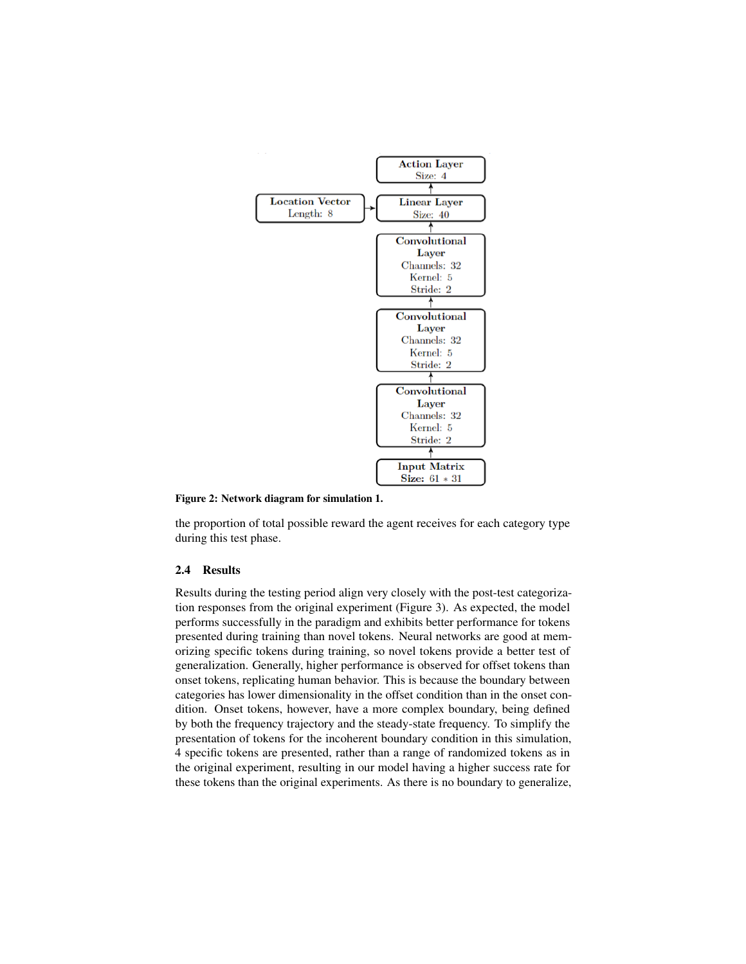

Figure 2: Network diagram for simulation 1.

the proportion of total possible reward the agent receives for each category type during this test phase.

## 2.4 Results

Results during the testing period align very closely with the post-test categorization responses from the original experiment (Figure 3). As expected, the model performs successfully in the paradigm and exhibits better performance for tokens presented during training than novel tokens. Neural networks are good at memorizing specific tokens during training, so novel tokens provide a better test of generalization. Generally, higher performance is observed for offset tokens than onset tokens, replicating human behavior. This is because the boundary between categories has lower dimensionality in the offset condition than in the onset condition. Onset tokens, however, have a more complex boundary, being defined by both the frequency trajectory and the steady-state frequency. To simplify the presentation of tokens for the incoherent boundary condition in this simulation, 4 specific tokens are presented, rather than a range of randomized tokens as in the original experiment, resulting in our model having a higher success rate for these tokens than the original experiments. As there is no boundary to generalize,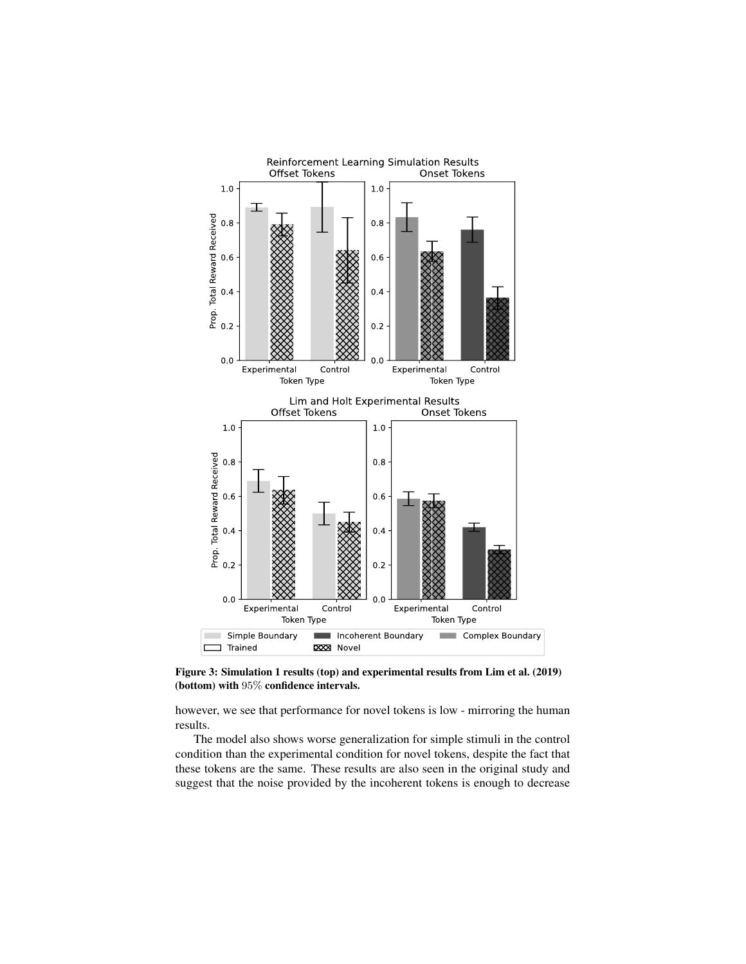

Figure 3: Simulation 1 results (top) and experimental results from Lim et al. (2019) (bottom) with 95% confidence intervals.

however, we see that performance for novel tokens is low - mirroring the human results.

The model also shows worse generalization for simple stimuli in the control condition than the experimental condition for novel tokens, despite the fact that these tokens are the same. These results are also seen in the original study and suggest that the noise provided by the incoherent tokens is enough to decrease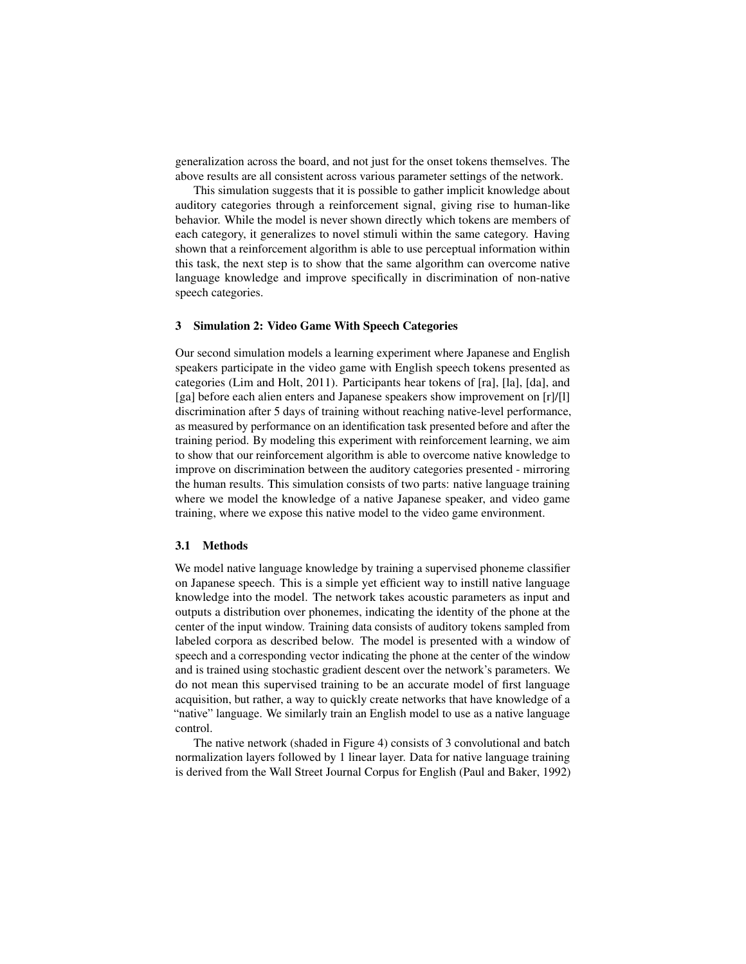generalization across the board, and not just for the onset tokens themselves. The above results are all consistent across various parameter settings of the network.

This simulation suggests that it is possible to gather implicit knowledge about auditory categories through a reinforcement signal, giving rise to human-like behavior. While the model is never shown directly which tokens are members of each category, it generalizes to novel stimuli within the same category. Having shown that a reinforcement algorithm is able to use perceptual information within this task, the next step is to show that the same algorithm can overcome native language knowledge and improve specifically in discrimination of non-native speech categories.

## 3 Simulation 2: Video Game With Speech Categories

Our second simulation models a learning experiment where Japanese and English speakers participate in the video game with English speech tokens presented as categories (Lim and Holt, 2011). Participants hear tokens of [ra], [la], [da], and [ga] before each alien enters and Japanese speakers show improvement on [r]/[l] discrimination after 5 days of training without reaching native-level performance, as measured by performance on an identification task presented before and after the training period. By modeling this experiment with reinforcement learning, we aim to show that our reinforcement algorithm is able to overcome native knowledge to improve on discrimination between the auditory categories presented - mirroring the human results. This simulation consists of two parts: native language training where we model the knowledge of a native Japanese speaker, and video game training, where we expose this native model to the video game environment.

#### 3.1 Methods

We model native language knowledge by training a supervised phoneme classifier on Japanese speech. This is a simple yet efficient way to instill native language knowledge into the model. The network takes acoustic parameters as input and outputs a distribution over phonemes, indicating the identity of the phone at the center of the input window. Training data consists of auditory tokens sampled from labeled corpora as described below. The model is presented with a window of speech and a corresponding vector indicating the phone at the center of the window and is trained using stochastic gradient descent over the network's parameters. We do not mean this supervised training to be an accurate model of first language acquisition, but rather, a way to quickly create networks that have knowledge of a "native" language. We similarly train an English model to use as a native language control.

The native network (shaded in Figure 4) consists of 3 convolutional and batch normalization layers followed by 1 linear layer. Data for native language training is derived from the Wall Street Journal Corpus for English (Paul and Baker, 1992)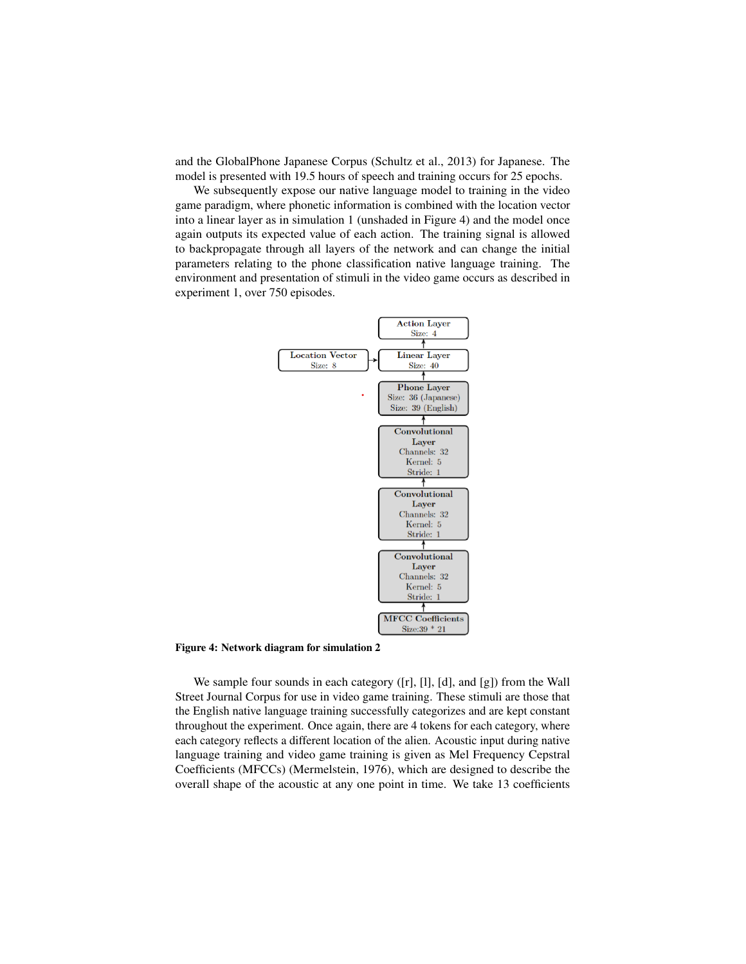and the GlobalPhone Japanese Corpus (Schultz et al., 2013) for Japanese. The model is presented with 19.5 hours of speech and training occurs for 25 epochs.

We subsequently expose our native language model to training in the video game paradigm, where phonetic information is combined with the location vector into a linear layer as in simulation 1 (unshaded in Figure 4) and the model once again outputs its expected value of each action. The training signal is allowed to backpropagate through all layers of the network and can change the initial parameters relating to the phone classification native language training. The environment and presentation of stimuli in the video game occurs as described in experiment 1, over 750 episodes.



Figure 4: Network diagram for simulation 2

We sample four sounds in each category ([r], [l], [d], and [g]) from the Wall Street Journal Corpus for use in video game training. These stimuli are those that the English native language training successfully categorizes and are kept constant throughout the experiment. Once again, there are 4 tokens for each category, where each category reflects a different location of the alien. Acoustic input during native language training and video game training is given as Mel Frequency Cepstral Coefficients (MFCCs) (Mermelstein, 1976), which are designed to describe the overall shape of the acoustic at any one point in time. We take 13 coefficients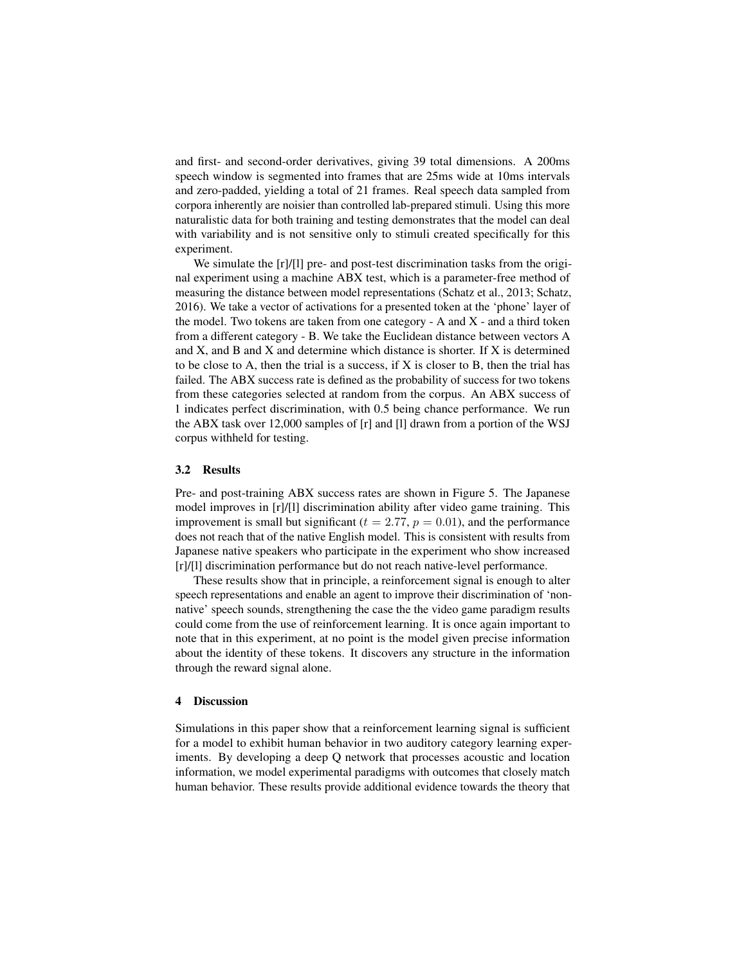and first- and second-order derivatives, giving 39 total dimensions. A 200ms speech window is segmented into frames that are 25ms wide at 10ms intervals and zero-padded, yielding a total of 21 frames. Real speech data sampled from corpora inherently are noisier than controlled lab-prepared stimuli. Using this more naturalistic data for both training and testing demonstrates that the model can deal with variability and is not sensitive only to stimuli created specifically for this experiment.

We simulate the  $\lceil r \rceil / \lceil r \rceil$  pre- and post-test discrimination tasks from the original experiment using a machine ABX test, which is a parameter-free method of measuring the distance between model representations (Schatz et al., 2013; Schatz, 2016). We take a vector of activations for a presented token at the 'phone' layer of the model. Two tokens are taken from one category - A and  $X$  - and a third token from a different category - B. We take the Euclidean distance between vectors A and X, and B and X and determine which distance is shorter. If X is determined to be close to A, then the trial is a success, if  $X$  is closer to  $B$ , then the trial has failed. The ABX success rate is defined as the probability of success for two tokens from these categories selected at random from the corpus. An ABX success of 1 indicates perfect discrimination, with 0.5 being chance performance. We run the ABX task over 12,000 samples of [r] and [l] drawn from a portion of the WSJ corpus withheld for testing.

### 3.2 Results

Pre- and post-training ABX success rates are shown in Figure 5. The Japanese model improves in [r]/[l] discrimination ability after video game training. This improvement is small but significant ( $t = 2.77$ ,  $p = 0.01$ ), and the performance does not reach that of the native English model. This is consistent with results from Japanese native speakers who participate in the experiment who show increased [r]/[l] discrimination performance but do not reach native-level performance.

These results show that in principle, a reinforcement signal is enough to alter speech representations and enable an agent to improve their discrimination of 'nonnative' speech sounds, strengthening the case the the video game paradigm results could come from the use of reinforcement learning. It is once again important to note that in this experiment, at no point is the model given precise information about the identity of these tokens. It discovers any structure in the information through the reward signal alone.

## 4 Discussion

Simulations in this paper show that a reinforcement learning signal is sufficient for a model to exhibit human behavior in two auditory category learning experiments. By developing a deep Q network that processes acoustic and location information, we model experimental paradigms with outcomes that closely match human behavior. These results provide additional evidence towards the theory that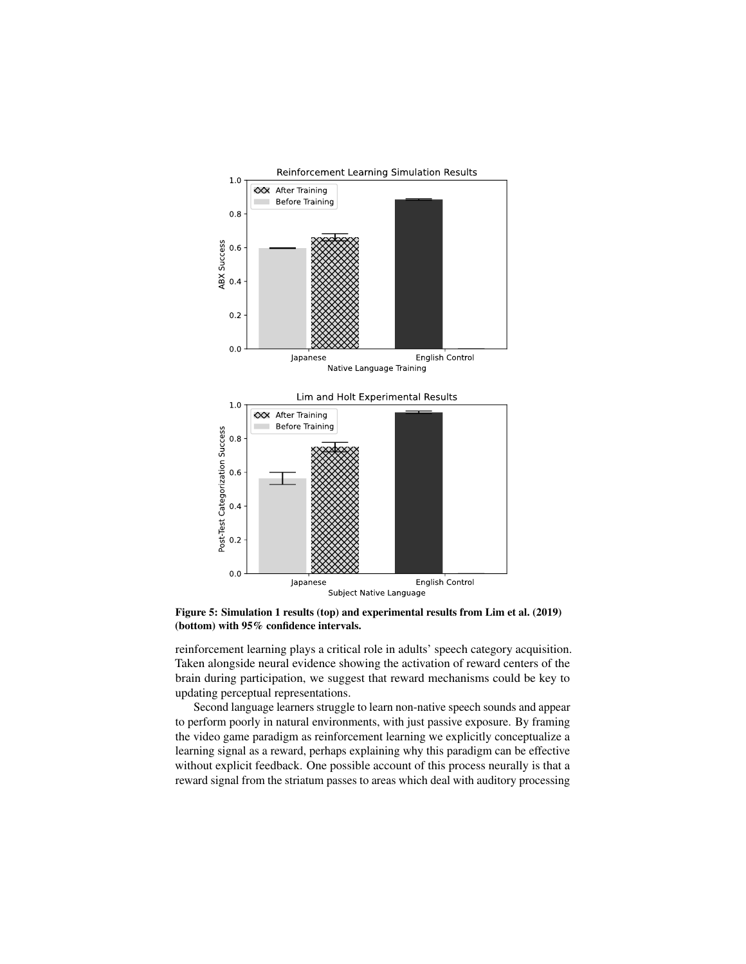

Figure 5: Simulation 1 results (top) and experimental results from Lim et al. (2019) (bottom) with 95% confidence intervals.

reinforcement learning plays a critical role in adults' speech category acquisition. Taken alongside neural evidence showing the activation of reward centers of the brain during participation, we suggest that reward mechanisms could be key to updating perceptual representations.

Second language learners struggle to learn non-native speech sounds and appear to perform poorly in natural environments, with just passive exposure. By framing the video game paradigm as reinforcement learning we explicitly conceptualize a learning signal as a reward, perhaps explaining why this paradigm can be effective without explicit feedback. One possible account of this process neurally is that a reward signal from the striatum passes to areas which deal with auditory processing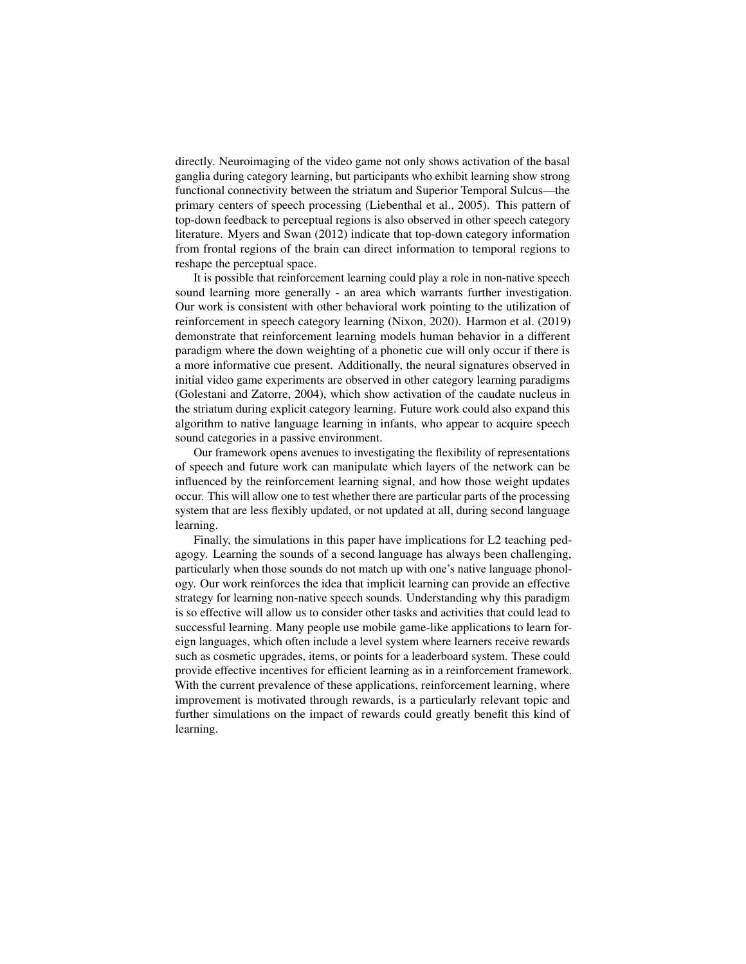directly. Neuroimaging of the video game not only shows activation of the basal ganglia during category learning, but participants who exhibit learning show strong functional connectivity between the striatum and Superior Temporal Sulcus—the primary centers of speech processing (Liebenthal et al., 2005). This pattern of top-down feedback to perceptual regions is also observed in other speech category literature. Myers and Swan (2012) indicate that top-down category information from frontal regions of the brain can direct information to temporal regions to reshape the perceptual space.

It is possible that reinforcement learning could play a role in non-native speech sound learning more generally - an area which warrants further investigation. Our work is consistent with other behavioral work pointing to the utilization of reinforcement in speech category learning (Nixon, 2020). Harmon et al. (2019) demonstrate that reinforcement learning models human behavior in a different paradigm where the down weighting of a phonetic cue will only occur if there is a more informative cue present. Additionally, the neural signatures observed in initial video game experiments are observed in other category learning paradigms (Golestani and Zatorre, 2004), which show activation of the caudate nucleus in the striatum during explicit category learning. Future work could also expand this algorithm to native language learning in infants, who appear to acquire speech sound categories in a passive environment.

Our framework opens avenues to investigating the flexibility of representations of speech and future work can manipulate which layers of the network can be influenced by the reinforcement learning signal, and how those weight updates occur. This will allow one to test whether there are particular parts of the processing system that are less flexibly updated, or not updated at all, during second language learning.

Finally, the simulations in this paper have implications for L2 teaching pedagogy. Learning the sounds of a second language has always been challenging, particularly when those sounds do not match up with one's native language phonology. Our work reinforces the idea that implicit learning can provide an effective strategy for learning non-native speech sounds. Understanding why this paradigm is so effective will allow us to consider other tasks and activities that could lead to successful learning. Many people use mobile game-like applications to learn foreign languages, which often include a level system where learners receive rewards such as cosmetic upgrades, items, or points for a leaderboard system. These could provide effective incentives for efficient learning as in a reinforcement framework. With the current prevalence of these applications, reinforcement learning, where improvement is motivated through rewards, is a particularly relevant topic and further simulations on the impact of rewards could greatly benefit this kind of learning.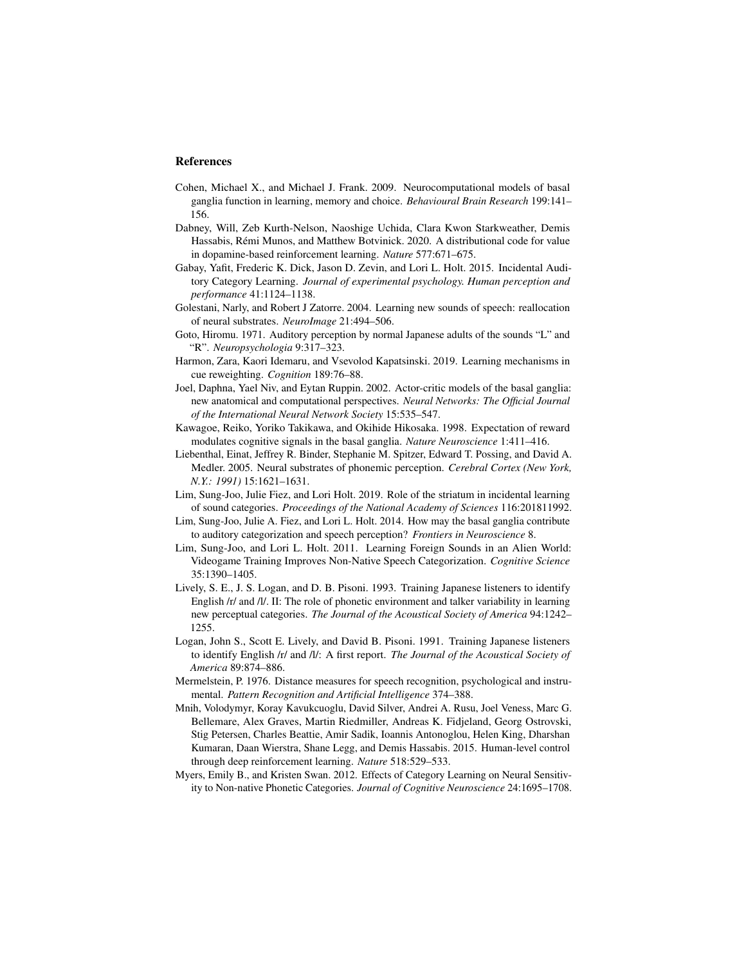### References

- Cohen, Michael X., and Michael J. Frank. 2009. Neurocomputational models of basal ganglia function in learning, memory and choice. *Behavioural Brain Research* 199:141– 156.
- Dabney, Will, Zeb Kurth-Nelson, Naoshige Uchida, Clara Kwon Starkweather, Demis Hassabis, Remi Munos, and Matthew Botvinick. 2020. A distributional code for value ´ in dopamine-based reinforcement learning. *Nature* 577:671–675.
- Gabay, Yafit, Frederic K. Dick, Jason D. Zevin, and Lori L. Holt. 2015. Incidental Auditory Category Learning. *Journal of experimental psychology. Human perception and performance* 41:1124–1138.
- Golestani, Narly, and Robert J Zatorre. 2004. Learning new sounds of speech: reallocation of neural substrates. *NeuroImage* 21:494–506.
- Goto, Hiromu. 1971. Auditory perception by normal Japanese adults of the sounds "L" and "R". *Neuropsychologia* 9:317–323.
- Harmon, Zara, Kaori Idemaru, and Vsevolod Kapatsinski. 2019. Learning mechanisms in cue reweighting. *Cognition* 189:76–88.
- Joel, Daphna, Yael Niv, and Eytan Ruppin. 2002. Actor-critic models of the basal ganglia: new anatomical and computational perspectives. *Neural Networks: The Official Journal of the International Neural Network Society* 15:535–547.
- Kawagoe, Reiko, Yoriko Takikawa, and Okihide Hikosaka. 1998. Expectation of reward modulates cognitive signals in the basal ganglia. *Nature Neuroscience* 1:411–416.
- Liebenthal, Einat, Jeffrey R. Binder, Stephanie M. Spitzer, Edward T. Possing, and David A. Medler. 2005. Neural substrates of phonemic perception. *Cerebral Cortex (New York, N.Y.: 1991)* 15:1621–1631.
- Lim, Sung-Joo, Julie Fiez, and Lori Holt. 2019. Role of the striatum in incidental learning of sound categories. *Proceedings of the National Academy of Sciences* 116:201811992.
- Lim, Sung-Joo, Julie A. Fiez, and Lori L. Holt. 2014. How may the basal ganglia contribute to auditory categorization and speech perception? *Frontiers in Neuroscience* 8.
- Lim, Sung-Joo, and Lori L. Holt. 2011. Learning Foreign Sounds in an Alien World: Videogame Training Improves Non-Native Speech Categorization. *Cognitive Science* 35:1390–1405.
- Lively, S. E., J. S. Logan, and D. B. Pisoni. 1993. Training Japanese listeners to identify English /r/ and /l/. II: The role of phonetic environment and talker variability in learning new perceptual categories. *The Journal of the Acoustical Society of America* 94:1242– 1255.
- Logan, John S., Scott E. Lively, and David B. Pisoni. 1991. Training Japanese listeners to identify English /r/ and /l/: A first report. *The Journal of the Acoustical Society of America* 89:874–886.
- Mermelstein, P. 1976. Distance measures for speech recognition, psychological and instrumental. *Pattern Recognition and Artificial Intelligence* 374–388.
- Mnih, Volodymyr, Koray Kavukcuoglu, David Silver, Andrei A. Rusu, Joel Veness, Marc G. Bellemare, Alex Graves, Martin Riedmiller, Andreas K. Fidjeland, Georg Ostrovski, Stig Petersen, Charles Beattie, Amir Sadik, Ioannis Antonoglou, Helen King, Dharshan Kumaran, Daan Wierstra, Shane Legg, and Demis Hassabis. 2015. Human-level control through deep reinforcement learning. *Nature* 518:529–533.
- Myers, Emily B., and Kristen Swan. 2012. Effects of Category Learning on Neural Sensitivity to Non-native Phonetic Categories. *Journal of Cognitive Neuroscience* 24:1695–1708.